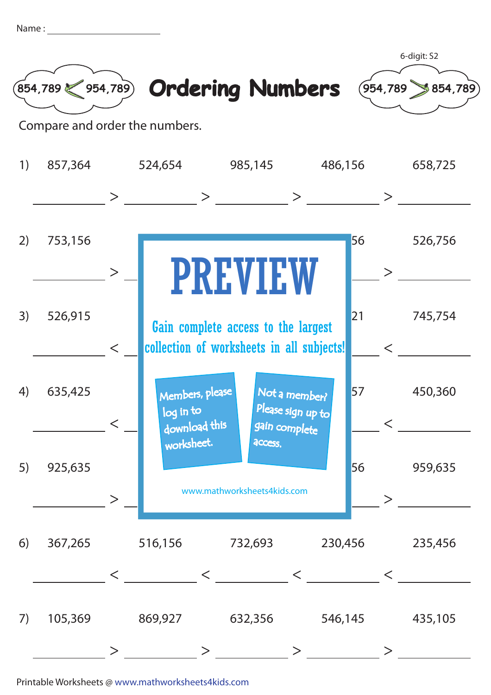| Name |  |
|------|--|
|      |  |



Printable Worksheets @ www.mathworksheets4kids.com